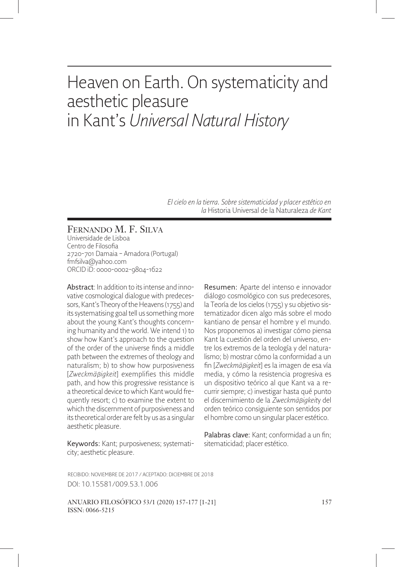# Heaven on Earth. On systematicity and aesthetic pleasure in Kant's *Universal Natural History*

*El cielo en la tierra. Sobre sistematicidad y placer estético en la* Historia Universal de la Naturaleza *de Kant*

FERNANDO M. F. SILVA Universidade de Lisboa Centro de Filosofia 2720-701 Damaia – Amadora (Portugal) fmfsilva@yahoo.com ORCID iD: 0000-0002-9804-1622

Abstract: In addition to its intense and innovative cosmological dialogue with predecessors, Kant's Theory of the Heavens (1755) and its systematising goal tell us something more about the young Kant's thoughts concerning humanity and the world. We intend 1) to show how Kant's approach to the question of the order of the universe finds a middle path between the extremes of theology and naturalism; b) to show how purposiveness [*Zweckmä*β*igkeit*] exemplifies this middle path, and how this progressive resistance is a theoretical device to which Kant would frequently resort; c) to examine the extent to which the discernment of purposiveness and its theoretical order are felt by us as a singular aesthetic pleasure.

Keywords: Kant; purposiveness; systematicity; aesthetic pleasure.

Resumen: Aparte del intenso e innovador diálogo cosmológico con sus predecesores, la Teoría de los cielos (1755) y su objetivo sistematizador dicen algo más sobre el modo kantiano de pensar el hombre y el mundo. Nos proponemos a) investigar cómo piensa Kant la cuestión del orden del universo, entre los extremos de la teología y del naturalismo; b) mostrar cómo la conformidad a un fin [*Zweckmäßigkeit*] es la imagen de esa vía media, y cómo la resistencia progresiva es un dispositivo teórico al que Kant va a recurrir siempre; c) investigar hasta qué punto el discernimiento de la *Zweckmä*β*igkeit*y del orden teórico consiguiente son sentidos por el hombre como un singular placer estético.

Palabras clave: Kant: conformidad a un fin: sitematicidad; placer estético.

RECIBIDO: NOVIEMBRE DE 2017 / ACEPTADO: DICIEMBRE DE 2018 DOI: 10.15581/009.53.1.006

ANUARIO FILOSÓFICO 53/1 (2020) 157-177 [1-21] 157 ISSN: 0066-5215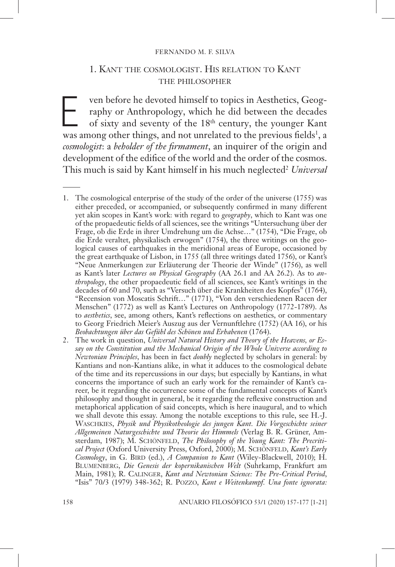#### FERNANDO M. F. SILVA

## 1. KANT THE COSMOLOGIST. HIS RELATION TO KANT THE PHILOSOPHER

ven before he devoted himself to topics in Aesthetics, Geography or Anthropology, which he did between the decades of sixty and seventy of the 18<sup>th</sup> century, the younger Kant raphy or Anthropology, which he did between the decades of sixty and seventy of the 18th century, the younger Kant was among other things, and not unrelated to the previous fields<sup>1</sup>, a *cosmologist*: a *beholder of the firmament*, an inquirer of the origin and development of the edifice of the world and the order of the cosmos. This much is said by Kant himself in his much neglected<sup>2</sup> *Universal* 

2. The work in question, *Universal Natural History and Theory of the Heavens, or Essay on the Constitution and the Mechanical Origin of the Whole Universe according to Newtonian Principles*, has been in fact *doubly* neglected by scholars in general: by Kantians and non-Kantians alike, in what it adduces to the cosmological debate of the time and its repercussions in our days; but especially by Kantians, in what concerns the importance of such an early work for the remainder of Kant's career, be it regarding the occurrence some of the fundamental concepts of Kant's philosophy and thought in general, be it regarding the reflexive construction and metaphorical application of said concepts, which is here inaugural, and to which we shall devote this essay. Among the notable exceptions to this rule, see H.-J. WASCHKIES, *Physik und Physikotheologie des jungen Kant. Die Vorgeschichte seiner Allgemeinen Naturgeschichte und Theorie des Himmels* (Verlag B. R. Grüner, Amsterdam, 1987); M. SCHÖNFELD, *The Philosophy of the Young Kant: The Precritical Project* (Oxford University Press, Oxford, 2000); M. SCHÖNFELD, *Kant's Early Cosmology*, in G. BIRD (ed.), *A Companion to Kant* (Wiley-Blackwell, 2010); H. BLUMENBERG, *Die Genesis der kopernikanischen Welt* (Suhrkamp, Frankfurt am Main, 1981); R. CALINGER, *Kant and Newtonian Science: The Pre-Critical Period*, "Isis" 70/3 (1979) 348-362; R. POZZO, *Kant e Weitenkampf. Una fonte ignorata:* 

<sup>1.</sup> The cosmological enterprise of the study of the order of the universe (1755) was either preceded, or accompanied, or subsequently confirmed in many different yet akin scopes in Kant's work: with regard to *geography*, which to Kant was one of the propaedeutic fields of all sciences, see the writings "Untersuchung über der Frage, ob die Erde in ihrer Umdrehung um die Achse…" (1754), "Die Frage, ob die Erde veraltet, physikalisch erwogen" (1754), the three writings on the geological causes of earthquakes in the meridional areas of Europe, occasioned by the great earthquake of Lisbon, in 1755 (all three writings dated 1756), or Kant's "Neue Anmerkungen zur Erläuterung der Theorie der Winde" (1756), as well as Kant's later *Lectures on Physical Geography* (AA 26.1 and AA 26.2). As to *anthropology*, the other propaedeutic field of all sciences, see Kant's writings in the decades of 60 and 70, such as "Versuch über die Krankheiten des Kopfes" (1764), "Recension von Moscatis Schrift…" (1771), "Von den verschiedenen Racen der Menschen" (1772) as well as Kant's Lectures on Anthropology (1772-1789). As to *aesthetics*, see, among others, Kant's reflections on aesthetics, or commentary to Georg Friedrich Meier's Auszug aus der Vernunftlehre (1752) (AA 16), or his *Beobachtungen über das Gefühl des Schönen und Erhabenen* (1764).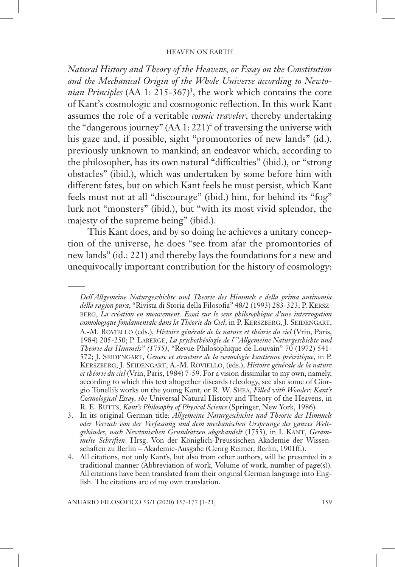*Natural History and Theory of the Heavens, or Essay on the Constitution and the Mechanical Origin of the Whole Universe according to Newtonian Principles* (AA 1: 215-367)<sup>3</sup>, the work which contains the core of Kant's cosmologic and cosmogonic reflection. In this work Kant assumes the role of a veritable *cosmic traveler*, thereby undertaking the "dangerous journey" (AA 1: 221)<sup>4</sup> of traversing the universe with his gaze and, if possible, sight "promontories of new lands" (id.), previously unknown to mankind; an endeavor which, according to the philosopher, has its own natural "difficulties" (ibid.), or "strong obstacles" (ibid.), which was undertaken by some before him with different fates, but on which Kant feels he must persist, which Kant feels must not at all "discourage" (ibid.) him, for behind its "fog" lurk not "monsters" (ibid.), but "with its most vivid splendor, the majesty of the supreme being" (ibid.).

This Kant does, and by so doing he achieves a unitary conception of the universe, he does "see from afar the promontories of new lands" (id.: 221) and thereby lays the foundations for a new and unequivocally important contribution for the history of cosmology:

*Dell'Allgemeine Naturgeschichte und Theorie des Himmels e della prima antinomia*  della ragion pura, "Rivista di Storia della Filosofia" 48/2 (1993) 283-323; P. KERSZ-BERG, *La création en mouvement. Essai sur le sens philosophique d'une interrogation cosmologique fondamentale dans la Théorie du Ciel*, in P. KERSZBERG, J. SEIDENGART, A.-M. ROVIELLO (eds.), *Histoire générale de la nature et théorie du ciel* (Vrin, Paris, 1984) 205-250; P. LABERGE, *La psychothéologie de l'"Allgemeine Naturgeschichte und Theorie des Himmels" (1755)*, "Revue Philosophique de Louvain" 70 (1972) 541- 572; J. SEIDENGART, *Genese et structure de la cosmologie kantienne précritique*, in P. KERSZBERG, J. SEIDENGART, A.-M. ROVIELLO, (eds.), *Histoire générale de la nature et théorie du ciel* (Vrin, Paris, 1984) 7-59. For a vision dissimilar to my own, namely, according to which this text altogether discards teleology, see also some of Giorgio Tonelli's works on the young Kant, or R. W. SHEA, *Filled with Wonder: Kant's Cosmological Essay, the* Universal Natural History and Theory of the Heavens*,* in R. E. BUTTS, *Kant's Philosophy of Physical Science* (Springer, New York, 1986).

<sup>3.</sup> In its original German title: *Allgemeine Naturgeschichte und Theorie des Himmels oder Versuch von der Verfassung und dem mechanischen Ursprunge des ganzes Weltgebäudes, nach Newtonischen Grundsätzen abgehandelt* (1755), in I. KANT, *Gesammelte Schriften*. Hrsg. Von der Königlich-Preussischen Akademie der Wissenschaften zu Berlin – Akademie-Ausgabe (Georg Reimer, Berlin, 1901ff.).

<sup>4.</sup> All citations, not only Kant's, but also from other authors, will be presented in a traditional manner (Abbreviation of work, Volume of work, number of page(s)). All citations have been translated from their original German language into English. The citations are of my own translation.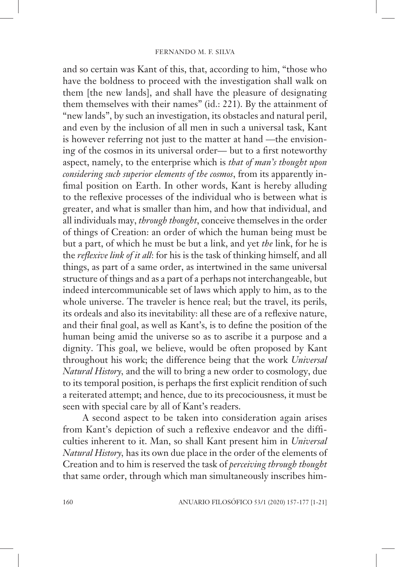and so certain was Kant of this, that, according to him, "those who have the boldness to proceed with the investigation shall walk on them [the new lands], and shall have the pleasure of designating them themselves with their names" (id.: 221). By the attainment of "new lands", by such an investigation, its obstacles and natural peril, and even by the inclusion of all men in such a universal task, Kant is however referring not just to the matter at hand —the envisioning of the cosmos in its universal order— but to a first noteworthy aspect, namely, to the enterprise which is *that of man's thought upon considering such superior elements of the cosmos*, from its apparently infimal position on Earth. In other words, Kant is hereby alluding to the reflexive processes of the individual who is between what is greater, and what is smaller than him, and how that individual, and all individuals may, *through thought*, conceive themselves in the order of things of Creation: an order of which the human being must be but a part, of which he must be but a link, and yet *the* link, for he is the *reflexive link of it all*: for his is the task of thinking himself, and all things, as part of a same order, as intertwined in the same universal structure of things and as a part of a perhaps not interchangeable, but indeed intercommunicable set of laws which apply to him, as to the whole universe. The traveler is hence real; but the travel, its perils, its ordeals and also its inevitability: all these are of a reflexive nature, and their final goal, as well as Kant's, is to define the position of the human being amid the universe so as to ascribe it a purpose and a dignity. This goal, we believe, would be often proposed by Kant throughout his work; the difference being that the work *Universal Natural History,* and the will to bring a new order to cosmology, due to its temporal position, is perhaps the first explicit rendition of such a reiterated attempt; and hence, due to its precociousness, it must be seen with special care by all of Kant's readers.

A second aspect to be taken into consideration again arises from Kant's depiction of such a reflexive endeavor and the difficulties inherent to it. Man, so shall Kant present him in *Universal Natural History,* has its own due place in the order of the elements of Creation and to him is reserved the task of *perceiving through thought* that same order, through which man simultaneously inscribes him-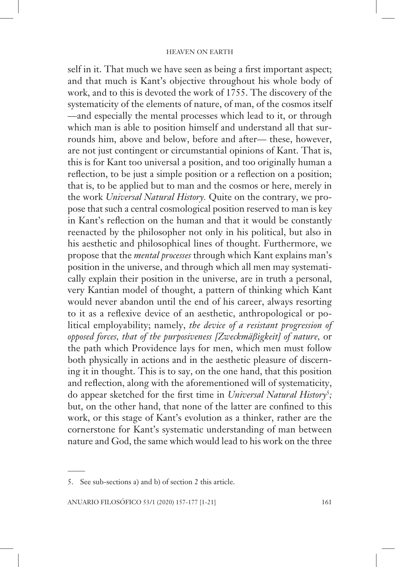self in it. That much we have seen as being a first important aspect; and that much is Kant's objective throughout his whole body of work, and to this is devoted the work of 1755. The discovery of the systematicity of the elements of nature, of man, of the cosmos itself —and especially the mental processes which lead to it, or through which man is able to position himself and understand all that surrounds him, above and below, before and after— these, however, are not just contingent or circumstantial opinions of Kant. That is, this is for Kant too universal a position, and too originally human a reflection, to be just a simple position or a reflection on a position; that is, to be applied but to man and the cosmos or here, merely in the work *Universal Natural History.* Quite on the contrary, we propose that such a central cosmological position reserved to man is key in Kant's reflection on the human and that it would be constantly reenacted by the philosopher not only in his political, but also in his aesthetic and philosophical lines of thought. Furthermore, we propose that the *mental processes* through which Kant explains man's position in the universe, and through which all men may systematically explain their position in the universe, are in truth a personal, very Kantian model of thought, a pattern of thinking which Kant would never abandon until the end of his career, always resorting to it as a reflexive device of an aesthetic, anthropological or political employability; namely, *the device of a resistant progression of opposed forces, that of the purposiveness [Zweckmäβigkeit] of nature,* or the path which Providence lays for men, which men must follow both physically in actions and in the aesthetic pleasure of discerning it in thought. This is to say, on the one hand, that this position and reflection, along with the aforementioned will of systematicity, do appear sketched for the first time in *Universal Natural History<sup>5</sup>;* but, on the other hand, that none of the latter are confined to this work, or this stage of Kant's evolution as a thinker, rather are the cornerstone for Kant's systematic understanding of man between nature and God, the same which would lead to his work on the three

<sup>5.</sup> See sub-sections a) and b) of section 2 this article.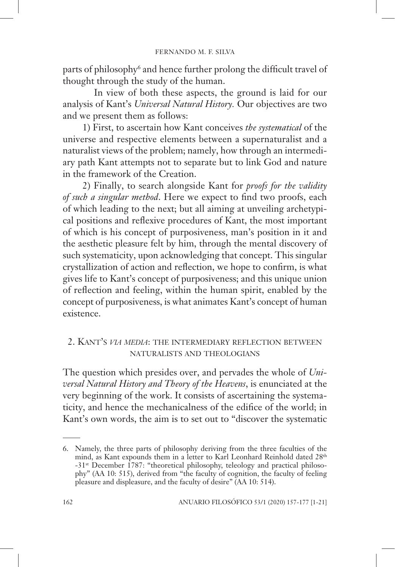parts of philosophy<sup>6</sup> and hence further prolong the difficult travel of thought through the study of the human.

 In view of both these aspects, the ground is laid for our analysis of Kant's *Universal Natural History.* Our objectives are two and we present them as follows:

1) First, to ascertain how Kant conceives *the systematical* of the universe and respective elements between a supernaturalist and a naturalist views of the problem; namely, how through an intermediary path Kant attempts not to separate but to link God and nature in the framework of the Creation.

2) Finally, to search alongside Kant for *proofs for the validity of such a singular method*. Here we expect to find two proofs, each of which leading to the next; but all aiming at unveiling archetypical positions and reflexive procedures of Kant, the most important of which is his concept of purposiveness, man's position in it and the aesthetic pleasure felt by him, through the mental discovery of such systematicity, upon acknowledging that concept. This singular crystallization of action and reflection, we hope to confirm, is what gives life to Kant's concept of purposiveness; and this unique union of reflection and feeling, within the human spirit, enabled by the concept of purposiveness, is what animates Kant's concept of human existence.

## 2. KANT'S *VIA MEDIA*: THE INTERMEDIARY REFLECTION BETWEEN NATURALISTS AND THEOLOGIANS

The question which presides over, and pervades the whole of *Universal Natural History and Theory of the Heavens*, is enunciated at the very beginning of the work. It consists of ascertaining the systematicity, and hence the mechanicalness of the edifice of the world; in Kant's own words, the aim is to set out to "discover the systematic

<sup>6.</sup> Namely, the three parts of philosophy deriving from the three faculties of the mind, as Kant expounds them in a letter to Karl Leonhard Reinhold dated  $28^{\rm th}$ -31st December 1787: "theoretical philosophy, teleology and practical philosophy" (AA 10: 515), derived from "the faculty of cognition, the faculty of feeling pleasure and displeasure, and the faculty of desire" (AA 10: 514).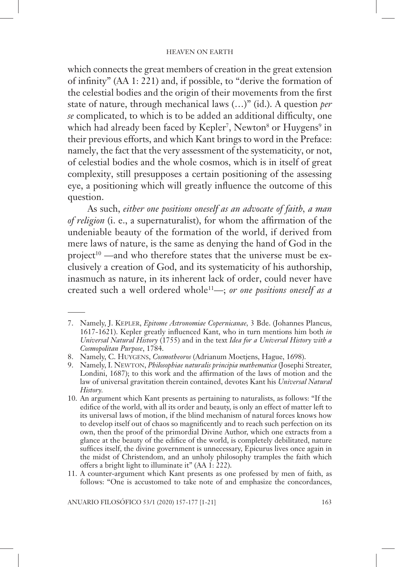which connects the great members of creation in the great extension of infinity"  $(AA 1: 221)$  and, if possible, to "derive the formation of the celestial bodies and the origin of their movements from the first state of nature, through mechanical laws (…)" (id.). A question *per se* complicated, to which is to be added an additional difficulty, one which had already been faced by Kepler<sup>7</sup>, Newton<sup>8</sup> or Huygens<sup>9</sup> in their previous efforts, and which Kant brings to word in the Preface: namely, the fact that the very assessment of the systematicity, or not, of celestial bodies and the whole cosmos, which is in itself of great complexity, still presupposes a certain positioning of the assessing eye, a positioning which will greatly influence the outcome of this question.

As such, *either one positions oneself as an advocate of faith, a man of religion* (i. e., a supernaturalist), for whom the affirmation of the undeniable beauty of the formation of the world, if derived from mere laws of nature, is the same as denying the hand of God in the project<sup>10</sup> —and who therefore states that the universe must be exclusively a creation of God, and its systematicity of his authorship, inasmuch as nature, in its inherent lack of order, could never have created such a well ordered whole11—; *or one positions oneself as a* 

11. A counter-argument which Kant presents as one professed by men of faith, as follows: "One is accustomed to take note of and emphasize the concordances,

ANUARIO FILOSÓFICO 53/1 (2020) 157-177 [1-21] 163

<sup>7.</sup> Namely, J. KEPLER, *Epitome Astronomiae Copernicanae,* 3 Bde. (Johannes Plancus, 1617-1621). Kepler greatly influenced Kant, who in turn mentions him both *in Universal Natural History* (1755) and in the text *Idea for a Universal History with a Cosmopolitan Purpose*, 1784.

<sup>8.</sup> Namely, C. HUYGENS, *Cosmotheoros* (Adrianum Moetjens, Hague, 1698).

<sup>9.</sup> Namely, I. NEWTON, *Philosophiae naturalis principia mathematica* (Josephi Streater, Londini,  $1687$ ); to this work and the affirmation of the laws of motion and the law of universal gravitation therein contained, devotes Kant his *Universal Natural History.*

<sup>10.</sup> An argument which Kant presents as pertaining to naturalists, as follows: "If the edifice of the world, with all its order and beauty, is only an effect of matter left to its universal laws of motion, if the blind mechanism of natural forces knows how to develop itself out of chaos so magnificently and to reach such perfection on its own, then the proof of the primordial Divine Author, which one extracts from a glance at the beauty of the edifice of the world, is completely debilitated, nature suffices itself, the divine government is unnecessary, Epicurus lives once again in the midst of Christendom, and an unholy philosophy tramples the faith which offers a bright light to illuminate it" (AA 1: 222).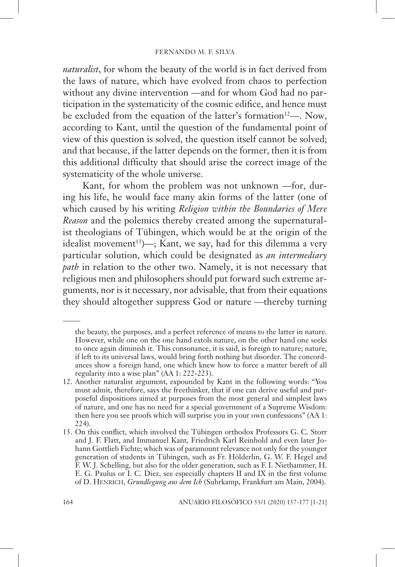*naturalist*, for whom the beauty of the world is in fact derived from the laws of nature, which have evolved from chaos to perfection without any divine intervention —and for whom God had no participation in the systematicity of the cosmic edifice, and hence must be excluded from the equation of the latter's formation<sup>12</sup>—. Now, according to Kant, until the question of the fundamental point of view of this question is solved, the question itself cannot be solved; and that because, if the latter depends on the former, then it is from this additional difficulty that should arise the correct image of the systematicity of the whole universe.

Kant, for whom the problem was not unknown —for, during his life, he would face many akin forms of the latter (one of which caused by his writing *Religion within the Boundaries of Mere Reason* and the polemics thereby created among the supernaturalist theologians of Tübingen, which would be at the origin of the idealist movement<sup>13</sup>)—; Kant, we say, had for this dilemma a very particular solution, which could be designated as *an intermediary path* in relation to the other two. Namely, it is not necessary that religious men and philosophers should put forward such extreme arguments, nor is it necessary, nor advisable, that from their equations they should altogether suppress God or nature —thereby turning

the beauty, the purposes, and a perfect reference of means to the latter in nature. However, while one on the one hand extols nature, on the other hand one seeks to once again diminish it. This consonance, it is said, is foreign to nature; nature, if left to its universal laws, would bring forth nothing but disorder. The concordances show a foreign hand, one which knew how to force a matter bereft of all regularity into a wise plan" (AA 1: 222-223).

<sup>12.</sup> Another naturalist argument, expounded by Kant in the following words: "You must admit, therefore, says the freethinker, that if one can derive useful and purposeful dispositions aimed at purposes from the most general and simplest laws of nature, and one has no need for a special government of a Supreme Wisdom: then here you see proofs which will surprise you in your own confessions" (AA 1: 224).

<sup>13.</sup> On this conflict, which involved the Tübingen orthodox Professors G. C. Storr and J. F. Flatt, and Immanuel Kant, Friedrich Karl Reinhold and even later Johann Gottlieb Fichte; which was of paramount relevance not only for the younger generation of students in Tübingen, such as Fr. Hölderlin, G. W. F. Hegel and F. W. J. Schelling, but also for the older generation, such as F. I. Niethammer, H. E. G. Paulus or I. C. Diez, see especially chapters  $II$  and  $IX$  in the first volume of D. HENRICH, *Grundlegung aus dem Ich* (Suhrkamp, Frankfurt am Main, 2004).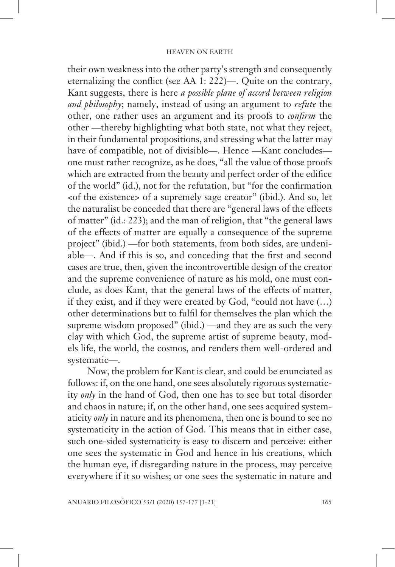their own weakness into the other party's strength and consequently eternalizing the conflict (see AA 1: 222)—. Quite on the contrary, Kant suggests, there is here *a possible plane of accord between religion and philosophy*; namely, instead of using an argument to *refute* the other, one rather uses an argument and its proofs to *confirm* the other —thereby highlighting what both state, not what they reject, in their fundamental propositions, and stressing what the latter may have of compatible, not of divisible—. Hence —Kant concludes one must rather recognize, as he does, "all the value of those proofs which are extracted from the beauty and perfect order of the edifice of the world" (id.), not for the refutation, but "for the confirmation <of the existence> of a supremely sage creator" (ibid.). And so, let the naturalist be conceded that there are "general laws of the effects of matter" (id.: 223); and the man of religion, that "the general laws of the effects of matter are equally a consequence of the supreme project" (ibid.) —for both statements, from both sides, are undeniable—. And if this is so, and conceding that the first and second cases are true, then, given the incontrovertible design of the creator and the supreme convenience of nature as his mold, one must conclude, as does Kant, that the general laws of the effects of matter, if they exist, and if they were created by God, "could not have (…) other determinations but to fulfil for themselves the plan which the supreme wisdom proposed" (ibid.) —and they are as such the very clay with which God, the supreme artist of supreme beauty, models life, the world, the cosmos, and renders them well-ordered and systematic—.

Now, the problem for Kant is clear, and could be enunciated as follows: if, on the one hand, one sees absolutely rigorous systematicity *only* in the hand of God, then one has to see but total disorder and chaos in nature; if, on the other hand, one sees acquired systematicity *only* in nature and its phenomena, then one is bound to see no systematicity in the action of God. This means that in either case, such one-sided systematicity is easy to discern and perceive: either one sees the systematic in God and hence in his creations, which the human eye, if disregarding nature in the process, may perceive everywhere if it so wishes; or one sees the systematic in nature and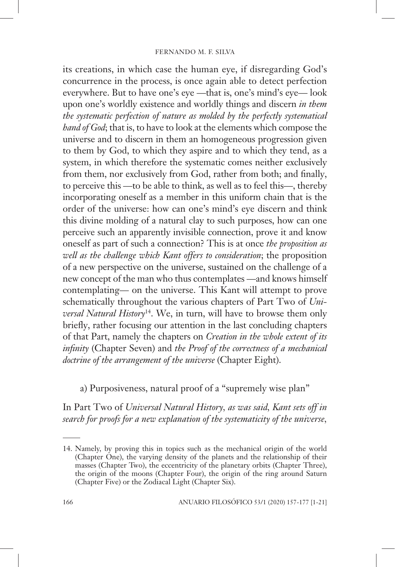its creations, in which case the human eye, if disregarding God's concurrence in the process, is once again able to detect perfection everywhere. But to have one's eye —that is, one's mind's eye— look upon one's worldly existence and worldly things and discern *in them the systematic perfection of nature as molded by the perfectly systematical hand of God*; that is, to have to look at the elements which compose the universe and to discern in them an homogeneous progression given to them by God, to which they aspire and to which they tend, as a system, in which therefore the systematic comes neither exclusively from them, nor exclusively from God, rather from both; and finally, to perceive this —to be able to think, as well as to feel this—, thereby incorporating oneself as a member in this uniform chain that is the order of the universe: how can one's mind's eye discern and think this divine molding of a natural clay to such purposes, how can one perceive such an apparently invisible connection, prove it and know oneself as part of such a connection? This is at once *the proposition as well as the challenge which Kant offers to consideration*; the proposition of a new perspective on the universe, sustained on the challenge of a new concept of the man who thus contemplates —and knows himself contemplating— on the universe. This Kant will attempt to prove schematically throughout the various chapters of Part Two of *Universal Natural History*14. We, in turn, will have to browse them only briefly, rather focusing our attention in the last concluding chapters of that Part, namely the chapters on *Creation in the whole extent of its infinity* (Chapter Seven) and *the Proof of the correctness of a mechanical doctrine of the arrangement of the universe* (Chapter Eight).

a) Purposiveness, natural proof of a "supremely wise plan"

In Part Two of *Universal Natural History, as was said, Kant sets off in search for proofs for a new explanation of the systematicity of the universe,* 

<sup>14.</sup> Namely, by proving this in topics such as the mechanical origin of the world (Chapter One), the varying density of the planets and the relationship of their masses (Chapter Two), the eccentricity of the planetary orbits (Chapter Three), the origin of the moons (Chapter Four), the origin of the ring around Saturn (Chapter Five) or the Zodiacal Light (Chapter Six).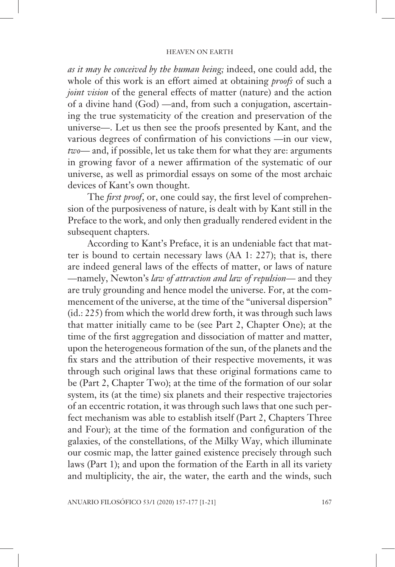*as it may be conceived by the human being;* indeed, one could add, the whole of this work is an effort aimed at obtaining *proofs* of such a *joint vision* of the general effects of matter (nature) and the action of a divine hand (God) —and, from such a conjugation, ascertaining the true systematicity of the creation and preservation of the universe—. Let us then see the proofs presented by Kant, and the various degrees of confirmation of his convictions —in our view, *two*— and, if possible, let us take them for what they are: arguments in growing favor of a newer affirmation of the systematic of our universe, as well as primordial essays on some of the most archaic devices of Kant's own thought.

The *first proof*, or, one could say, the first level of comprehension of the purposiveness of nature, is dealt with by Kant still in the Preface to the work, and only then gradually rendered evident in the subsequent chapters.

According to Kant's Preface, it is an undeniable fact that matter is bound to certain necessary laws (AA 1: 227); that is, there are indeed general laws of the effects of matter, or laws of nature —namely, Newton's *law of attraction and law of repulsion*— and they are truly grounding and hence model the universe. For, at the commencement of the universe, at the time of the "universal dispersion" (id.: 225) from which the world drew forth, it was through such laws that matter initially came to be (see Part 2, Chapter One); at the time of the first aggregation and dissociation of matter and matter, upon the heterogeneous formation of the sun, of the planets and the fix stars and the attribution of their respective movements, it was through such original laws that these original formations came to be (Part 2, Chapter Two); at the time of the formation of our solar system, its (at the time) six planets and their respective trajectories of an eccentric rotation, it was through such laws that one such perfect mechanism was able to establish itself (Part 2, Chapters Three and Four); at the time of the formation and configuration of the galaxies, of the constellations, of the Milky Way, which illuminate our cosmic map, the latter gained existence precisely through such laws (Part 1); and upon the formation of the Earth in all its variety and multiplicity, the air, the water, the earth and the winds, such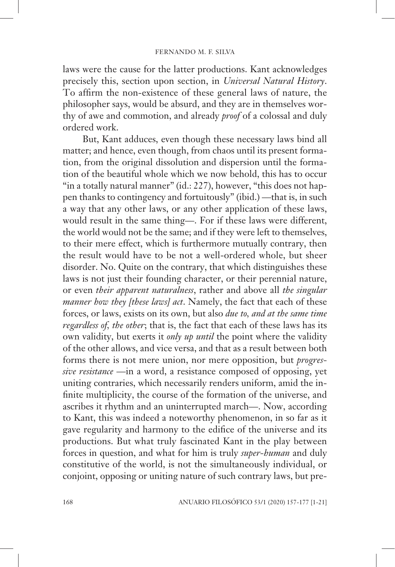laws were the cause for the latter productions. Kant acknowledges precisely this, section upon section, in *Universal Natural History*. To affirm the non-existence of these general laws of nature, the philosopher says, would be absurd, and they are in themselves worthy of awe and commotion, and already *proof* of a colossal and duly ordered work.

But, Kant adduces, even though these necessary laws bind all matter; and hence, even though, from chaos until its present formation, from the original dissolution and dispersion until the formation of the beautiful whole which we now behold, this has to occur "in a totally natural manner" (id.: 227), however, "this does not happen thanks to contingency and fortuitously" (ibid.) —that is, in such a way that any other laws, or any other application of these laws, would result in the same thing—. For if these laws were different, the world would not be the same; and if they were left to themselves, to their mere effect, which is furthermore mutually contrary, then the result would have to be not a well-ordered whole, but sheer disorder. No. Quite on the contrary, that which distinguishes these laws is not just their founding character, or their perennial nature, or even *their apparent naturalness*, rather and above all *the singular manner how they [these laws] act*. Namely, the fact that each of these forces, or laws, exists on its own, but also *due to, and at the same time regardless of, the other*; that is, the fact that each of these laws has its own validity, but exerts it *only up until* the point where the validity of the other allows, and vice versa, and that as a result between both forms there is not mere union, nor mere opposition, but *progressive resistance* —in a word, a resistance composed of opposing, yet uniting contraries, which necessarily renders uniform, amid the infinite multiplicity, the course of the formation of the universe, and ascribes it rhythm and an uninterrupted march—. Now, according to Kant, this was indeed a noteworthy phenomenon, in so far as it gave regularity and harmony to the edifice of the universe and its productions. But what truly fascinated Kant in the play between forces in question, and what for him is truly *super-human* and duly constitutive of the world, is not the simultaneously individual, or conjoint, opposing or uniting nature of such contrary laws, but pre-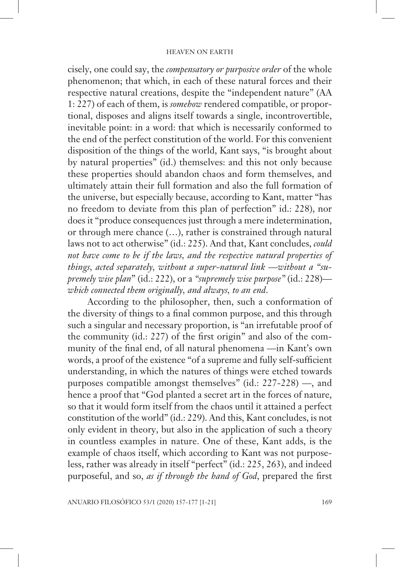cisely, one could say, the *compensatory or purposive order* of the whole phenomenon; that which, in each of these natural forces and their respective natural creations, despite the "independent nature" (AA 1: 227) of each of them, is *somehow* rendered compatible, or proportional, disposes and aligns itself towards a single, incontrovertible, inevitable point: in a word: that which is necessarily conformed to the end of the perfect constitution of the world. For this convenient disposition of the things of the world, Kant says, "is brought about by natural properties" (id.) themselves: and this not only because these properties should abandon chaos and form themselves, and ultimately attain their full formation and also the full formation of the universe, but especially because, according to Kant, matter "has no freedom to deviate from this plan of perfection" id.: 228), nor does it "produce consequences just through a mere indetermination, or through mere chance (…), rather is constrained through natural laws not to act otherwise" (id.: 225). And that, Kant concludes, *could not have come to be if the laws, and the respective natural properties of things, acted separately, without a super-natural link* —*without a "supremely wise plan*" (id.: 222), or a *"supremely wise purpose"* (id.: 228) *which connected them originally, and always, to an end*.

According to the philosopher, then, such a conformation of the diversity of things to a final common purpose, and this through such a singular and necessary proportion, is "an irrefutable proof of the community (id.: 227) of the first origin" and also of the community of the final end, of all natural phenomena —in Kant's own words, a proof of the existence "of a supreme and fully self-sufficient understanding, in which the natures of things were etched towards purposes compatible amongst themselves" (id.: 227-228) —, and hence a proof that "God planted a secret art in the forces of nature, so that it would form itself from the chaos until it attained a perfect constitution of the world" (id.: 229). And this, Kant concludes, is not only evident in theory, but also in the application of such a theory in countless examples in nature. One of these, Kant adds, is the example of chaos itself, which according to Kant was not purposeless, rather was already in itself "perfect" (id.: 225, 263), and indeed purposeful, and so, *as if through the hand of God*, prepared the first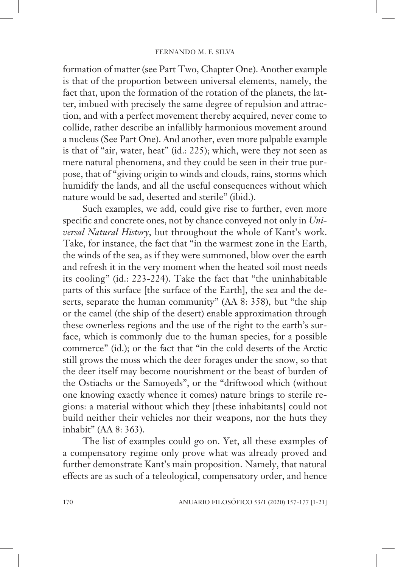formation of matter (see Part Two, Chapter One). Another example is that of the proportion between universal elements, namely, the fact that, upon the formation of the rotation of the planets, the latter, imbued with precisely the same degree of repulsion and attraction, and with a perfect movement thereby acquired, never come to collide, rather describe an infallibly harmonious movement around a nucleus (See Part One). And another, even more palpable example is that of "air, water, heat" (id.: 225); which, were they not seen as mere natural phenomena, and they could be seen in their true purpose, that of "giving origin to winds and clouds, rains, storms which humidify the lands, and all the useful consequences without which nature would be sad, deserted and sterile" (ibid.).

Such examples, we add, could give rise to further, even more specific and concrete ones, not by chance conveyed not only in *Universal Natural History*, but throughout the whole of Kant's work. Take, for instance, the fact that "in the warmest zone in the Earth, the winds of the sea, as if they were summoned, blow over the earth and refresh it in the very moment when the heated soil most needs its cooling" (id.: 223-224). Take the fact that "the uninhabitable parts of this surface [the surface of the Earth], the sea and the deserts, separate the human community" (AA 8: 358), but "the ship or the camel (the ship of the desert) enable approximation through these ownerless regions and the use of the right to the earth's surface, which is commonly due to the human species, for a possible commerce" (id.); or the fact that "in the cold deserts of the Arctic still grows the moss which the deer forages under the snow, so that the deer itself may become nourishment or the beast of burden of the Ostiachs or the Samoyeds", or the "driftwood which (without one knowing exactly whence it comes) nature brings to sterile regions: a material without which they [these inhabitants] could not build neither their vehicles nor their weapons, nor the huts they inhabit" (AA 8: 363).

The list of examples could go on. Yet, all these examples of a compensatory regime only prove what was already proved and further demonstrate Kant's main proposition. Namely, that natural effects are as such of a teleological, compensatory order, and hence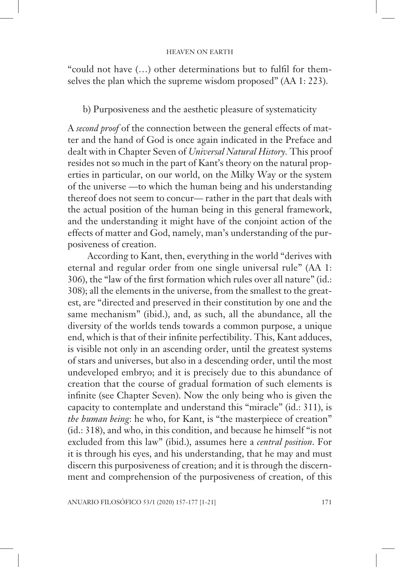"could not have (...) other determinations but to fulfil for themselves the plan which the supreme wisdom proposed" (AA 1: 223).

b) Purposiveness and the aesthetic pleasure of systematicity

A *second proof* of the connection between the general effects of matter and the hand of God is once again indicated in the Preface and dealt with in Chapter Seven of *Universal Natural History.* This proof resides not so much in the part of Kant's theory on the natural properties in particular, on our world, on the Milky Way or the system of the universe —to which the human being and his understanding thereof does not seem to concur— rather in the part that deals with the actual position of the human being in this general framework, and the understanding it might have of the conjoint action of the effects of matter and God, namely, man's understanding of the purposiveness of creation.

According to Kant, then, everything in the world "derives with eternal and regular order from one single universal rule" (AA 1: 306), the "law of the first formation which rules over all nature" (id.: 308); all the elements in the universe, from the smallest to the greatest, are "directed and preserved in their constitution by one and the same mechanism" (ibid.), and, as such, all the abundance, all the diversity of the worlds tends towards a common purpose, a unique end, which is that of their infinite perfectibility. This, Kant adduces, is visible not only in an ascending order, until the greatest systems of stars and universes, but also in a descending order, until the most undeveloped embryo; and it is precisely due to this abundance of creation that the course of gradual formation of such elements is infinite (see Chapter Seven). Now the only being who is given the capacity to contemplate and understand this "miracle" (id.: 311), is *the human being*: he who, for Kant, is "the masterpiece of creation" (id.: 318), and who, in this condition, and because he himself "is not excluded from this law" (ibid.), assumes here a *central position*. For it is through his eyes, and his understanding, that he may and must discern this purposiveness of creation; and it is through the discernment and comprehension of the purposiveness of creation, of this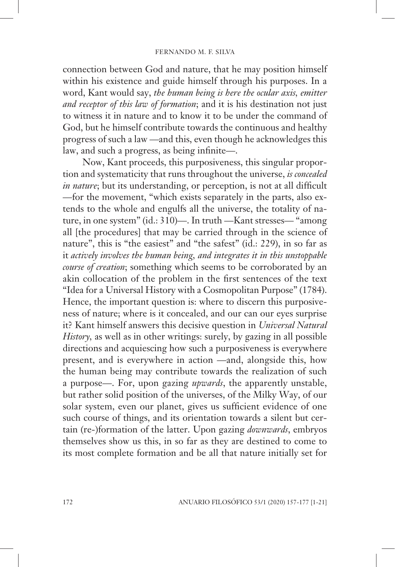connection between God and nature, that he may position himself within his existence and guide himself through his purposes. In a word, Kant would say, *the human being is here the ocular axis, emitter and receptor of this law of formation*; and it is his destination not just to witness it in nature and to know it to be under the command of God, but he himself contribute towards the continuous and healthy progress of such a law —and this, even though he acknowledges this law, and such a progress, as being infinite—.

Now, Kant proceeds, this purposiveness, this singular proportion and systematicity that runs throughout the universe, *is concealed in nature*; but its understanding, or perception, is not at all difficult —for the movement, "which exists separately in the parts, also extends to the whole and engulfs all the universe, the totality of nature, in one system" (id.: 310)—. In truth —Kant stresses— "among all [the procedures] that may be carried through in the science of nature", this is "the easiest" and "the safest" (id.: 229), in so far as it *actively involves the human being, and integrates it in this unstoppable course of creation*; something which seems to be corroborated by an akin collocation of the problem in the first sentences of the text "Idea for a Universal History with a Cosmopolitan Purpose" (1784). Hence, the important question is: where to discern this purposiveness of nature; where is it concealed, and our can our eyes surprise it? Kant himself answers this decisive question in *Universal Natural History,* as well as in other writings: surely, by gazing in all possible directions and acquiescing how such a purposiveness is everywhere present, and is everywhere in action —and, alongside this, how the human being may contribute towards the realization of such a purpose—. For, upon gazing *upwards*, the apparently unstable, but rather solid position of the universes, of the Milky Way, of our solar system, even our planet, gives us sufficient evidence of one such course of things, and its orientation towards a silent but certain (re-)formation of the latter. Upon gazing *downwards*, embryos themselves show us this, in so far as they are destined to come to its most complete formation and be all that nature initially set for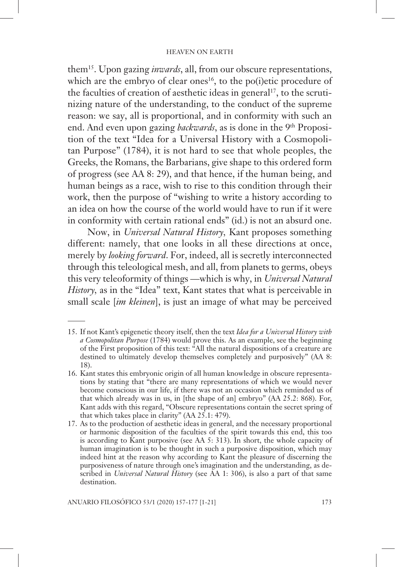them15. Upon gazing *inwards*, all, from our obscure representations, which are the embryo of clear ones<sup>16</sup>, to the po(i)etic procedure of the faculties of creation of aesthetic ideas in general<sup>17</sup>, to the scrutinizing nature of the understanding, to the conduct of the supreme reason: we say, all is proportional, and in conformity with such an end. And even upon gazing *backwards*, as is done in the 9<sup>th</sup> Proposition of the text "Idea for a Universal History with a Cosmopolitan Purpose" (1784), it is not hard to see that whole peoples, the Greeks, the Romans, the Barbarians, give shape to this ordered form of progress (see AA 8: 29), and that hence, if the human being, and human beings as a race, wish to rise to this condition through their work, then the purpose of "wishing to write a history according to an idea on how the course of the world would have to run if it were in conformity with certain rational ends" (id.) is not an absurd one.

Now, in *Universal Natural History,* Kant proposes something different: namely, that one looks in all these directions at once, merely by *looking forward*. For, indeed, all is secretly interconnected through this teleological mesh, and all, from planets to germs, obeys this very teleoformity of things —which is why, in *Universal Natural History,* as in the "Idea" text, Kant states that what is perceivable in small scale [*im kleinen*], is just an image of what may be perceived

<sup>15.</sup> If not Kant's epigenetic theory itself, then the text *Idea for a Universal History with a Cosmopolitan Purpose* (1784) would prove this. As an example, see the beginning of the First proposition of this text: "All the natural dispositions of a creature are destined to ultimately develop themselves completely and purposively" (AA 8: 18).

<sup>16.</sup> Kant states this embryonic origin of all human knowledge in obscure representations by stating that "there are many representations of which we would never become conscious in our life, if there was not an occasion which reminded us of that which already was in us, in [the shape of an] embryo" (AA 25.2: 868). For, Kant adds with this regard, "Obscure representations contain the secret spring of that which takes place in clarity" (AA 25.1: 479).

<sup>17.</sup> As to the production of aesthetic ideas in general, and the necessary proportional or harmonic disposition of the faculties of the spirit towards this end, this too is according to Kant purposive (see AA 5: 313). In short, the whole capacity of human imagination is to be thought in such a purposive disposition, which may indeed hint at the reason why according to Kant the pleasure of discerning the purposiveness of nature through one's imagination and the understanding, as described in *Universal Natural History* (see AA 1: 306), is also a part of that same destination.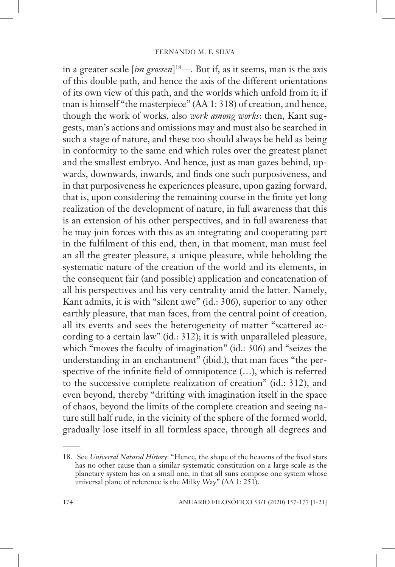in a greater scale [*im grossen*] 18—. But if, as it seems, man is the axis of this double path, and hence the axis of the different orientations of its own view of this path, and the worlds which unfold from it; if man is himself "the masterpiece" (AA 1: 318) of creation, and hence, though the work of works, also *work among works*: then, Kant suggests, man's actions and omissions may and must also be searched in such a stage of nature, and these too should always be held as being in conformity to the same end which rules over the greatest planet and the smallest embryo. And hence, just as man gazes behind, upwards, downwards, inwards, and finds one such purposiveness, and in that purposiveness he experiences pleasure, upon gazing forward, that is, upon considering the remaining course in the finite yet long realization of the development of nature, in full awareness that this is an extension of his other perspectives, and in full awareness that he may join forces with this as an integrating and cooperating part in the fulfilment of this end, then, in that moment, man must feel an all the greater pleasure, a unique pleasure, while beholding the systematic nature of the creation of the world and its elements, in the consequent fair (and possible) application and concatenation of all his perspectives and his very centrality amid the latter. Namely, Kant admits, it is with "silent awe" (id.: 306), superior to any other earthly pleasure, that man faces, from the central point of creation, all its events and sees the heterogeneity of matter "scattered according to a certain law" (id.: 312); it is with unparalleled pleasure, which "moves the faculty of imagination" (id.: 306) and "seizes the understanding in an enchantment" (ibid.), that man faces "the perspective of the infinite field of omnipotence  $(...)$ , which is referred to the successive complete realization of creation" (id.: 312), and even beyond, thereby "drifting with imagination itself in the space of chaos, beyond the limits of the complete creation and seeing nature still half rude, in the vicinity of the sphere of the formed world, gradually lose itself in all formless space, through all degrees and

<sup>18.</sup> See *Universal Natural History*: "Hence, the shape of the heavens of the fixed stars has no other cause than a similar systematic constitution on a large scale as the planetary system has on a small one, in that all suns compose one system whose universal plane of reference is the Milky Way" (AA 1: 251).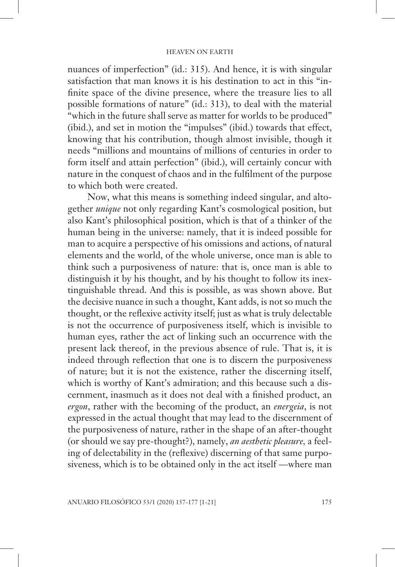nuances of imperfection" (id.: 315). And hence, it is with singular satisfaction that man knows it is his destination to act in this "infinite space of the divine presence, where the treasure lies to all possible formations of nature" (id.: 313), to deal with the material "which in the future shall serve as matter for worlds to be produced" (ibid.), and set in motion the "impulses" (ibid.) towards that effect, knowing that his contribution, though almost invisible, though it needs "millions and mountains of millions of centuries in order to form itself and attain perfection" (ibid.), will certainly concur with nature in the conquest of chaos and in the fulfilment of the purpose to which both were created.

Now, what this means is something indeed singular, and altogether *unique* not only regarding Kant's cosmological position, but also Kant's philosophical position, which is that of a thinker of the human being in the universe: namely, that it is indeed possible for man to acquire a perspective of his omissions and actions, of natural elements and the world, of the whole universe, once man is able to think such a purposiveness of nature: that is, once man is able to distinguish it by his thought, and by his thought to follow its inextinguishable thread. And this is possible, as was shown above. But the decisive nuance in such a thought, Kant adds, is not so much the thought, or the reflexive activity itself; just as what is truly delectable is not the occurrence of purposiveness itself, which is invisible to human eyes, rather the act of linking such an occurrence with the present lack thereof, in the previous absence of rule. That is, it is indeed through reflection that one is to discern the purposiveness of nature; but it is not the existence, rather the discerning itself, which is worthy of Kant's admiration; and this because such a discernment, inasmuch as it does not deal with a finished product, an *ergon*, rather with the becoming of the product, an *energeia*, is not expressed in the actual thought that may lead to the discernment of the purposiveness of nature, rather in the shape of an after-thought (or should we say pre-thought?), namely, *an aesthetic pleasure,* a feeling of delectability in the (reflexive) discerning of that same purposiveness, which is to be obtained only in the act itself —where man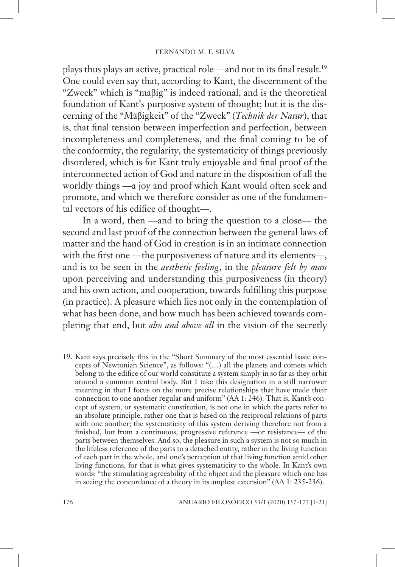plays thus plays an active, practical role— and not in its final result.<sup>19</sup> One could even say that, according to Kant, the discernment of the "Zweck" which is "mäβig" is indeed rational, and is the theoretical foundation of Kant's purposive system of thought; but it is the discerning of the "Mäβigkeit" of the "Zweck" (*Technik der Natur*), that is, that final tension between imperfection and perfection, between incompleteness and completeness, and the final coming to be of the conformity, the regularity, the systematicity of things previously disordered, which is for Kant truly enjoyable and final proof of the interconnected action of God and nature in the disposition of all the worldly things —a joy and proof which Kant would often seek and promote, and which we therefore consider as one of the fundamental vectors of his edifice of thought-

In a word, then —and to bring the question to a close— the second and last proof of the connection between the general laws of matter and the hand of God in creation is in an intimate connection with the first one —the purposiveness of nature and its elements—, and is to be seen in the *aesthetic feeling*, in the *pleasure felt by man* upon perceiving and understanding this purposiveness (in theory) and his own action, and cooperation, towards fulfilling this purpose (in practice). A pleasure which lies not only in the contemplation of what has been done, and how much has been achieved towards completing that end, but *also and above all* in the vision of the secretly

<sup>19.</sup> Kant says precisely this in the "Short Summary of the most essential basic concepts of Newtonian Science", as follows: "(…) all the planets and comets which belong to the edifice of our world constitute a system simply in so far as they orbit around a common central body. But I take this designation in a still narrower meaning in that I focus on the more precise relationships that have made their connection to one another regular and uniform" (AA 1: 246). That is, Kant's concept of system, or systematic constitution, is not one in which the parts refer to an absolute principle, rather one that is based on the reciprocal relations of parts with one another; the systematicity of this system deriving therefore not from a finished, but from a continuous, progressive reference —or resistance— of the parts between themselves. And so, the pleasure in such a system is not so much in the lifeless reference of the parts to a detached entity, rather in the living function of each part in the whole, and one's perception of that living function amid other living functions, for that is what gives systematicity to the whole. In Kant's own words: "the stimulating agreeability of the object and the pleasure which one has in seeing the concordance of a theory in its amplest extension" (AA 1: 235-236).